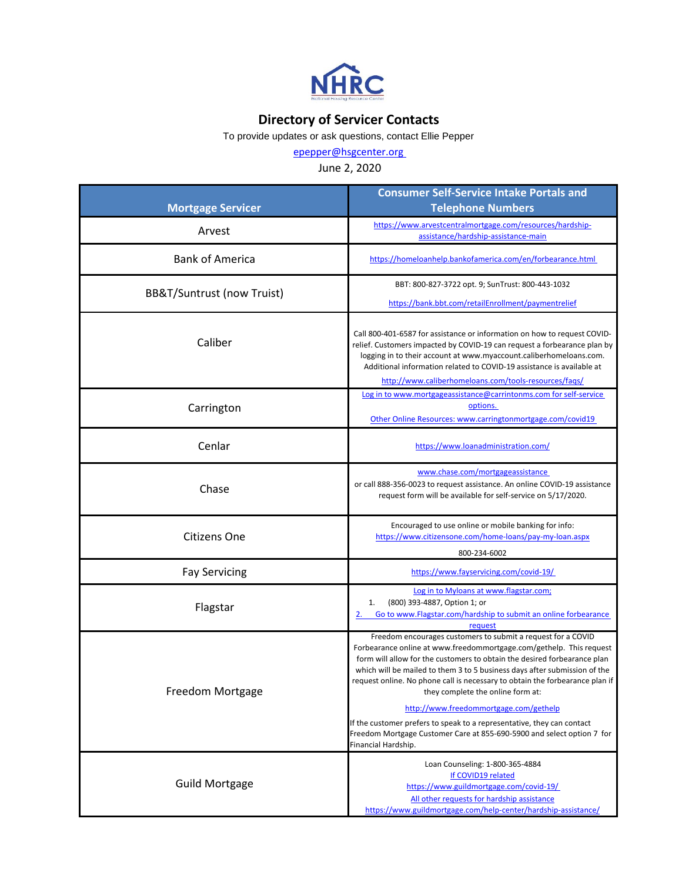

## **Directory of Servicer Contacts**

To provide updates or ask questions, contact Ellie Pepper

[epepper@hsgcenter.org](mailto:epepper@hsgcenter.org) 

## June 2, 2020

| <b>Mortgage Servicer</b>   | <b>Consumer Self-Service Intake Portals and</b><br><b>Telephone Numbers</b>                                                                                                                                                                                                                                                                                                                                                                                                                                                                                                                                                            |
|----------------------------|----------------------------------------------------------------------------------------------------------------------------------------------------------------------------------------------------------------------------------------------------------------------------------------------------------------------------------------------------------------------------------------------------------------------------------------------------------------------------------------------------------------------------------------------------------------------------------------------------------------------------------------|
| Arvest                     | https://www.arvestcentralmortgage.com/resources/hardship-<br>assistance/hardship-assistance-main                                                                                                                                                                                                                                                                                                                                                                                                                                                                                                                                       |
| <b>Bank of America</b>     | https://homeloanhelp.bankofamerica.com/en/forbearance.html                                                                                                                                                                                                                                                                                                                                                                                                                                                                                                                                                                             |
| BB&T/Suntrust (now Truist) | BBT: 800-827-3722 opt. 9; SunTrust: 800-443-1032<br>https://bank.bbt.com/retailEnrollment/paymentrelief                                                                                                                                                                                                                                                                                                                                                                                                                                                                                                                                |
| Caliber                    | Call 800-401-6587 for assistance or information on how to request COVID-<br>relief. Customers impacted by COVID-19 can request a forbearance plan by<br>logging in to their account at www.myaccount.caliberhomeloans.com.<br>Additional information related to COVID-19 assistance is available at<br>http://www.caliberhomeloans.com/tools-resources/faqs/                                                                                                                                                                                                                                                                           |
| Carrington                 | Log in to www.mortgageassistance@carrintonms.com for self-service<br>options.<br>Other Online Resources: www.carringtonmortgage.com/covid19                                                                                                                                                                                                                                                                                                                                                                                                                                                                                            |
| Cenlar                     | https://www.loanadministration.com/                                                                                                                                                                                                                                                                                                                                                                                                                                                                                                                                                                                                    |
| Chase                      | www.chase.com/mortgageassistance<br>or call 888-356-0023 to request assistance. An online COVID-19 assistance<br>request form will be available for self-service on 5/17/2020.                                                                                                                                                                                                                                                                                                                                                                                                                                                         |
| <b>Citizens One</b>        | Encouraged to use online or mobile banking for info:<br>https://www.citizensone.com/home-loans/pay-my-loan.aspx<br>800-234-6002                                                                                                                                                                                                                                                                                                                                                                                                                                                                                                        |
| <b>Fay Servicing</b>       | https://www.fayservicing.com/covid-19/                                                                                                                                                                                                                                                                                                                                                                                                                                                                                                                                                                                                 |
| Flagstar                   | Log in to Myloans at www.flagstar.com;<br>(800) 393-4887, Option 1; or<br>1.<br>Go to www.Flagstar.com/hardship to submit an online forbearance<br>request                                                                                                                                                                                                                                                                                                                                                                                                                                                                             |
| Freedom Mortgage           | Freedom encourages customers to submit a request for a COVID<br>Forbearance online at www.freedommortgage.com/gethelp. This request<br>form will allow for the customers to obtain the desired forbearance plan<br>which will be mailed to them 3 to 5 business days after submission of the<br>request online. No phone call is necessary to obtain the forbearance plan if<br>they complete the online form at:<br>http://www.freedommortgage.com/gethelp<br>If the customer prefers to speak to a representative, they can contact<br>Freedom Mortgage Customer Care at 855-690-5900 and select option 7 for<br>Financial Hardship. |
| <b>Guild Mortgage</b>      | Loan Counseling: 1-800-365-4884<br>If COVID19 related<br>https://www.guildmortgage.com/covid-19/<br>All other requests for hardship assistance<br>https://www.guildmortgage.com/help-center/hardship-assistance/                                                                                                                                                                                                                                                                                                                                                                                                                       |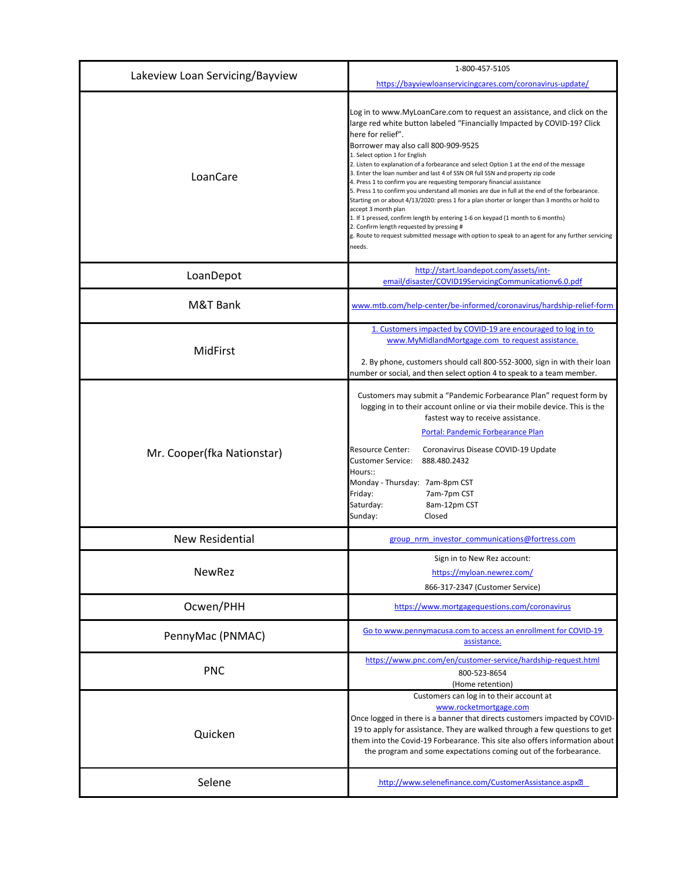| Lakeview Loan Servicing/Bayview | 1-800-457-5105<br>https://bayviewloanservicingcares.com/coronavirus-update/                                                                                                                                                                                                                                                                                                                                                                                                                                                                                                                                                                                                                                                                                                                                                                                                                                                                                                    |
|---------------------------------|--------------------------------------------------------------------------------------------------------------------------------------------------------------------------------------------------------------------------------------------------------------------------------------------------------------------------------------------------------------------------------------------------------------------------------------------------------------------------------------------------------------------------------------------------------------------------------------------------------------------------------------------------------------------------------------------------------------------------------------------------------------------------------------------------------------------------------------------------------------------------------------------------------------------------------------------------------------------------------|
| LoanCare                        | Log in to www.MyLoanCare.com to request an assistance, and click on the<br>large red white button labeled "Financially Impacted by COVID-19? Click<br>here for relief".<br>Borrower may also call 800-909-9525<br>1. Select option 1 for English<br>2. Listen to explanation of a forbearance and select Option 1 at the end of the message<br>3. Enter the loan number and last 4 of SSN OR full SSN and property zip code<br>4. Press 1 to confirm you are requesting temporary financial assistance<br>5. Press 1 to confirm you understand all monies are due in full at the end of the forbearance.<br>Starting on or about 4/13/2020: press 1 for a plan shorter or longer than 3 months or hold to<br>accept 3 month plan<br>1. If 1 pressed, confirm length by entering 1-6 on keypad (1 month to 6 months)<br>2. Confirm length requested by pressing #<br>g. Route to request submitted message with option to speak to an agent for any further servicing<br>needs. |
| LoanDepot                       | http://start.loandepot.com/assets/int-<br>email/disaster/COVID19ServicingCommunicationv6.0.pdf                                                                                                                                                                                                                                                                                                                                                                                                                                                                                                                                                                                                                                                                                                                                                                                                                                                                                 |
| M&T Bank                        | www.mtb.com/help-center/be-informed/coronavirus/hardship-relief-form                                                                                                                                                                                                                                                                                                                                                                                                                                                                                                                                                                                                                                                                                                                                                                                                                                                                                                           |
| MidFirst                        | 1. Customers impacted by COVID-19 are encouraged to log in to<br>www.MyMidlandMortgage.com to request assistance.<br>2. By phone, customers should call 800-552-3000, sign in with their loan<br>number or social, and then select option 4 to speak to a team member.                                                                                                                                                                                                                                                                                                                                                                                                                                                                                                                                                                                                                                                                                                         |
| Mr. Cooper(fka Nationstar)      | Customers may submit a "Pandemic Forbearance Plan" request form by<br>logging in to their account online or via their mobile device. This is the<br>fastest way to receive assistance.<br>Portal: Pandemic Forbearance Plan<br><b>Resource Center:</b><br>Coronavirus Disease COVID-19 Update<br><b>Customer Service:</b><br>888.480.2432<br>Hours::<br>Monday - Thursday: 7am-8pm CST<br>Friday:<br>7am-7pm CST<br>Saturday:<br>8am-12pm CST<br>Sunday:<br>Closed                                                                                                                                                                                                                                                                                                                                                                                                                                                                                                             |
| <b>New Residential</b>          | group nrm investor communications@fortress.com                                                                                                                                                                                                                                                                                                                                                                                                                                                                                                                                                                                                                                                                                                                                                                                                                                                                                                                                 |
| <b>NewRez</b>                   | Sign in to New Rez account:<br>https://myloan.newrez.com/<br>866-317-2347 (Customer Service)                                                                                                                                                                                                                                                                                                                                                                                                                                                                                                                                                                                                                                                                                                                                                                                                                                                                                   |
| Ocwen/PHH                       | https://www.mortgagequestions.com/coronavirus                                                                                                                                                                                                                                                                                                                                                                                                                                                                                                                                                                                                                                                                                                                                                                                                                                                                                                                                  |
| PennyMac (PNMAC)                | Go to www.pennymacusa.com to access an enrollment for COVID-19<br>assistance.                                                                                                                                                                                                                                                                                                                                                                                                                                                                                                                                                                                                                                                                                                                                                                                                                                                                                                  |
| <b>PNC</b>                      | https://www.pnc.com/en/customer-service/hardship-request.html<br>800-523-8654<br>(Home retention)                                                                                                                                                                                                                                                                                                                                                                                                                                                                                                                                                                                                                                                                                                                                                                                                                                                                              |
| Quicken                         | Customers can log in to their account at<br>www.rocketmortgage.com<br>Once logged in there is a banner that directs customers impacted by COVID-<br>19 to apply for assistance. They are walked through a few questions to get<br>them into the Covid-19 Forbearance. This site also offers information about<br>the program and some expectations coming out of the forbearance.                                                                                                                                                                                                                                                                                                                                                                                                                                                                                                                                                                                              |
| Selene                          | http://www.selenefinance.com/CustomerAssistance.aspx?                                                                                                                                                                                                                                                                                                                                                                                                                                                                                                                                                                                                                                                                                                                                                                                                                                                                                                                          |